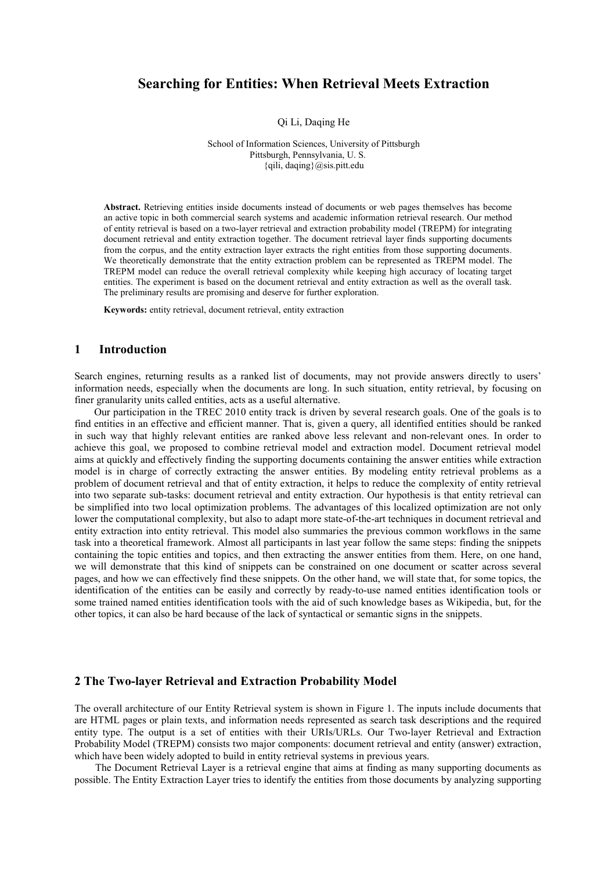# **Searching for Entities: When Retrieval Meets Extraction**

Qi Li, Daqing He

School of Information Sciences, University of Pittsburgh Pittsburgh, Pennsylvania, U. S. {qili, daqing}@sis.pitt.edu

**Abstract.** Retrieving entities inside documents instead of documents or web pages themselves has become an active topic in both commercial search systems and academic information retrieval research. Our method of entity retrieval is based on a two-layer retrieval and extraction probability model (TREPM) for integrating document retrieval and entity extraction together. The document retrieval layer finds supporting documents from the corpus, and the entity extraction layer extracts the right entities from those supporting documents. We theoretically demonstrate that the entity extraction problem can be represented as TREPM model. The TREPM model can reduce the overall retrieval complexity while keeping high accuracy of locating target entities. The experiment is based on the document retrieval and entity extraction as well as the overall task. The preliminary results are promising and deserve for further exploration.

**Keywords:** entity retrieval, document retrieval, entity extraction

## **1 Introduction**

Search engines, returning results as a ranked list of documents, may not provide answers directly to users' information needs, especially when the documents are long. In such situation, entity retrieval, by focusing on finer granularity units called entities, acts as a useful alternative.

 Our participation in the TREC 2010 entity track is driven by several research goals. One of the goals is to find entities in an effective and efficient manner. That is, given a query, all identified entities should be ranked in such way that highly relevant entities are ranked above less relevant and non-relevant ones. In order to achieve this goal, we proposed to combine retrieval model and extraction model. Document retrieval model aims at quickly and effectively finding the supporting documents containing the answer entities while extraction model is in charge of correctly extracting the answer entities. By modeling entity retrieval problems as a problem of document retrieval and that of entity extraction, it helps to reduce the complexity of entity retrieval into two separate sub-tasks: document retrieval and entity extraction. Our hypothesis is that entity retrieval can be simplified into two local optimization problems. The advantages of this localized optimization are not only lower the computational complexity, but also to adapt more state-of-the-art techniques in document retrieval and entity extraction into entity retrieval. This model also summaries the previous common workflows in the same task into a theoretical framework. Almost all participants in last year follow the same steps: finding the snippets containing the topic entities and topics, and then extracting the answer entities from them. Here, on one hand, we will demonstrate that this kind of snippets can be constrained on one document or scatter across several pages, and how we can effectively find these snippets. On the other hand, we will state that, for some topics, the identification of the entities can be easily and correctly by ready-to-use named entities identification tools or some trained named entities identification tools with the aid of such knowledge bases as Wikipedia, but, for the other topics, it can also be hard because of the lack of syntactical or semantic signs in the snippets.

### **2 The Two-layer Retrieval and Extraction Probability Model**

The overall architecture of our Entity Retrieval system is shown in Figure 1. The inputs include documents that are HTML pages or plain texts, and information needs represented as search task descriptions and the required entity type. The output is a set of entities with their URIs/URLs. Our Two-layer Retrieval and Extraction Probability Model (TREPM) consists two major components: document retrieval and entity (answer) extraction, which have been widely adopted to build in entity retrieval systems in previous years.

 The Document Retrieval Layer is a retrieval engine that aims at finding as many supporting documents as possible. The Entity Extraction Layer tries to identify the entities from those documents by analyzing supporting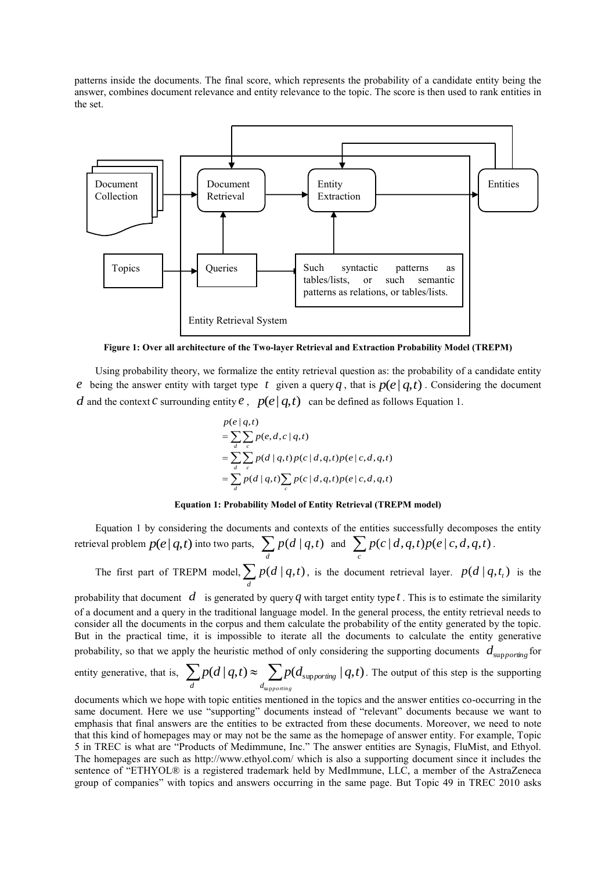patterns inside the documents. The final score, which represents the probability of a candidate entity being the answer, combines document relevance and entity relevance to the topic. The score is then used to rank entities in the set.



**Figure 1: Over all architecture of the Two-layer Retrieval and Extraction Probability Model (TREPM)**

 Using probability theory, we formalize the entity retrieval question as: the probability of a candidate entity *e* being the answer entity with target type t given a query q, that is  $p(e|q,t)$ . Considering the document *d* and the context *c* surrounding entity *e*,  $p(e|q,t)$  can be defined as follows Equation 1.

$$
p(e|q,t)
$$
  
= 
$$
\sum_{d} \sum_{c} p(e,d,c|q,t)
$$
  
= 
$$
\sum_{d} \sum_{c} p(d|q,t) p(c|d,q,t) p(e|c,d,q,t)
$$
  
= 
$$
\sum_{d} p(d|q,t) \sum_{c} p(c|d,q,t) p(e|c,d,q,t)
$$

#### **Equation 1: Probability Model of Entity Retrieval (TREPM model)**

 Equation 1 by considering the documents and contexts of the entities successfully decomposes the entity retrieval problem  $p(e|q,t)$  into two parts,  $\sum_{d}$  $p(d | q, t)$  and  $\sum p(c | d, q, t)p(e | c, d, q, t)$  $\sum_{c} p(c|d,q,t)p(e|c,d,q,t)$ .

The first part of TREPM model,  $\sum_{d}$  $p(d | q, t)$ , is the document retrieval layer.  $p(d | q, t_i)$  is the

probability that document  $d$  is generated by query  $q$  with target entity type  $t$ . This is to estimate the similarity of a document and a query in the traditional language model. In the general process, the entity retrieval needs to consider all the documents in the corpus and them calculate the probability of the entity generated by the topic. But in the practical time, it is impossible to iterate all the documents to calculate the entity generative probability, so that we apply the heuristic method of only considering the supporting documents  $d_{\text{supporting}}$  for

entity generative, that is, 
$$
\sum_{d} p(d | q, t) \approx \sum_{d_{\text{supporting}}} p(d_{\text{supporting}} | q, t).
$$
 The output of this step is the supporting

documents which we hope with topic entities mentioned in the topics and the answer entities co-occurring in the same document. Here we use "supporting" documents instead of "relevant" documents because we want to emphasis that final answers are the entities to be extracted from these documents. Moreover, we need to note that this kind of homepages may or may not be the same as the homepage of answer entity. For example, Topic 5 in TREC is what are "Products of Medimmune, Inc." The answer entities are Synagis, FluMist, and Ethyol. The homepages are such as<http://www.ethyol.com/> which is also a supporting document since it includes the sentence of "ETHYOL® is a registered trademark held by MedImmune, LLC, a member of the AstraZeneca group of companies" with topics and answers occurring in the same page. But Topic 49 in TREC 2010 asks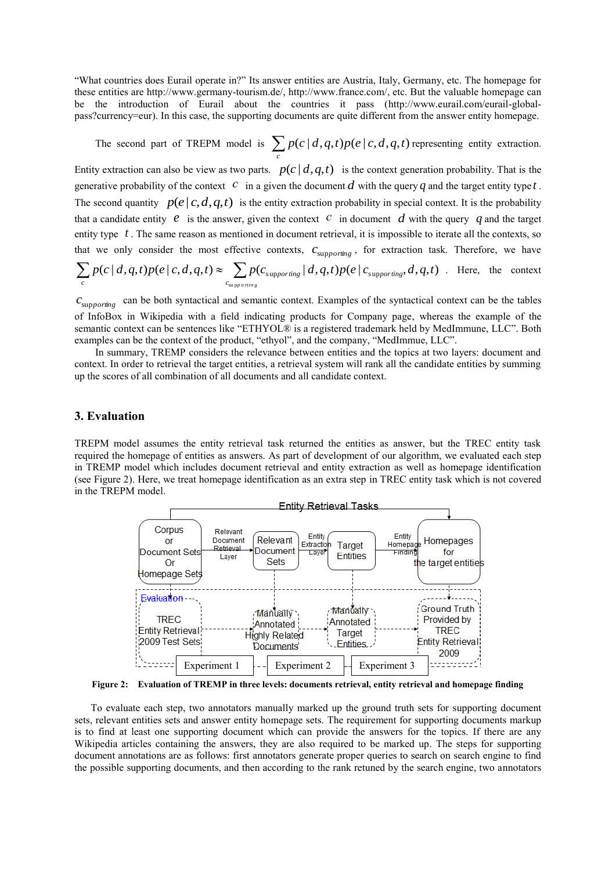"What countries does Eurail operate in?" Its answer entities are Austria, Italy, Germany, etc. The homepage for these entities are [http://www.germany-tourism.de/,](http://www.germany-tourism.de/) [http://www.france.com/,](http://www.france.com/) etc. But the valuable homepage can be the introduction of Eurail about the countries it pass [\(http://www.eurail.com/eurail-global](http://www.eurail.com/eurail-global-pass?currency=eur)[pass?currency=eur\)](http://www.eurail.com/eurail-global-pass?currency=eur). In this case, the supporting documents are quite different from the answer entity homepage.

The second part of TREPM model is  $\sum p(c|d, q, t)p(e|c, d, q, t)$  $\sum_c p(c|d,q,t)p(e|c,d,q,t)$  representing entity extraction.

Entity extraction can also be view as two parts.  $p(c | d, q, t)$  is the context generation probability. That is the generative probability of the context  $\bar{c}$  in a given the document  $\bar{d}$  with the query  $q$  and the target entity type  $t$ . The second quantity  $p(e|c,d,q,t)$  is the entity extraction probability in special context. It is the probability that a candidate entity  $e$  is the answer, given the context  $c$  in document  $d$  with the query  $q$  and the target entity type *t* . The same reason as mentioned in document retrieval, it is impossible to iterate all the contexts, so that we only consider the most effective contexts,  $c_{\text{supporting}}$ , for extraction task. Therefore, we have  $(c | d, q, t)p(e | c, d, q, t) \approx \sum p(c_{\text{supporting}} | d, q, t)p(e | c_{\text{supporting}}, d, q, t)$ su p  $p(c\,|\,d, q, t)p(e\,|\,c, d, q, t) \approx \sum p(c_{\text{supporting}}\,|\,d, q, t)p(e\,|\,c_{\text{supporting}}, d, q, t)$ *c*  $\sum_{c} P(c | u, q, t) P(c | c, u, q, t) \approx \sum_{c_{\text{supp} \text{ } o \text{ ring}}} P(c_{\text{supp} \text{ } o \text{ ring}})$  $\sum p(c|d,q,t)p(e|c,d,q,t) \approx \sum p(c_{\text{supporting}}|d,q,t)p(e|c_{\text{supporting}},d,q,t)$ . Here, the context

 $c_{\text{supporting}}$  can be both syntactical and semantic context. Examples of the syntactical context can be the tables of InfoBox in Wikipedia with a field indicating products for Company page, whereas the example of the semantic context can be sentences like "ETHYOL® is a registered trademark held by MedImmune, LLC". Both examples can be the context of the product, "ethyol", and the company, "MedImmue, LLC".

 In summary, TREMP considers the relevance between entities and the topics at two layers: document and context. In order to retrieval the target entities, a retrieval system will rank all the candidate entities by summing up the scores of all combination of all documents and all candidate context.

### **3. Evaluation**

TREPM model assumes the entity retrieval task returned the entities as answer, but the TREC entity task required the homepage of entities as answers. As part of development of our algorithm, we evaluated each step in TREMP model which includes document retrieval and entity extraction as well as homepage identification (see Figure 2). Here, we treat homepage identification as an extra step in TREC entity task which is not covered in the TREPM model.



**Figure 2: Evaluation of TREMP in three levels: documents retrieval, entity retrieval and homepage finding**

To evaluate each step, two annotators manually marked up the ground truth sets for supporting document sets, relevant entities sets and answer entity homepage sets. The requirement for supporting documents markup is to find at least one supporting document which can provide the answers for the topics. If there are any Wikipedia articles containing the answers, they are also required to be marked up. The steps for supporting document annotations are as follows: first annotators generate proper queries to search on search engine to find the possible supporting documents, and then according to the rank retuned by the search engine, two annotators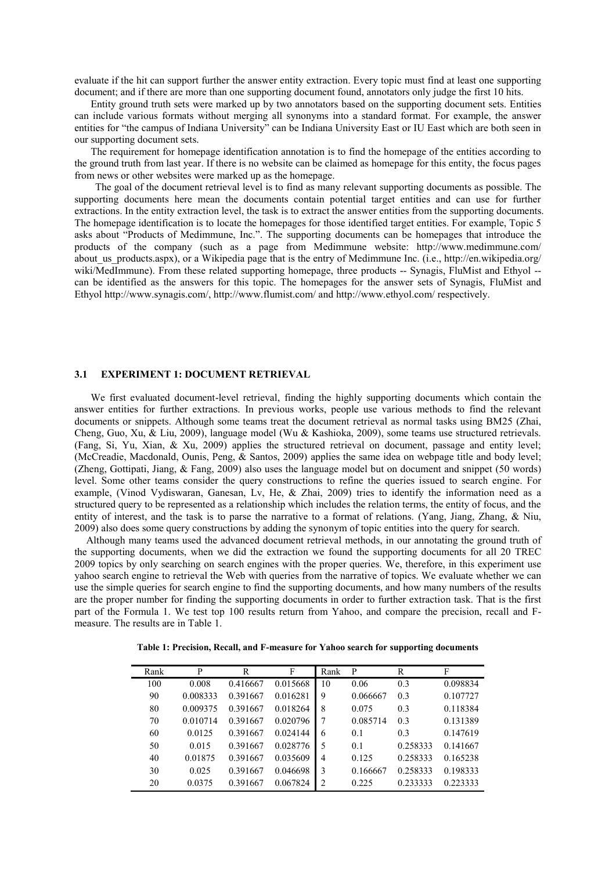evaluate if the hit can support further the answer entity extraction. Every topic must find at least one supporting document; and if there are more than one supporting document found, annotators only judge the first 10 hits.

Entity ground truth sets were marked up by two annotators based on the supporting document sets. Entities can include various formats without merging all synonyms into a standard format. For example, the answer entities for "the campus of Indiana University" can be Indiana University East or IU East which are both seen in our supporting document sets.

The requirement for homepage identification annotation is to find the homepage of the entities according to the ground truth from last year. If there is no website can be claimed as homepage for this entity, the focus pages from news or other websites were marked up as the homepage.

 The goal of the document retrieval level is to find as many relevant supporting documents as possible. The supporting documents here mean the documents contain potential target entities and can use for further extractions. In the entity extraction level, the task is to extract the answer entities from the supporting documents. The homepage identification is to locate the homepages for those identified target entities. For example, Topic 5 asks about "Products of Medimmune, Inc.". The supporting documents can be homepages that introduce the products of the company (such as a page from Medimmune website: http://www.medimmune.com/ about us products.aspx), or a Wikipedia page that is the entry of Medimmune Inc. (i.e., http://en.wikipedia.org/ wiki/MedImmune). From these related supporting homepage, three products -- Synagis, FluMist and Ethyol -can be identified as the answers for this topic. The homepages for the answer sets of Synagis, FluMist and Ethyol http://www.synagis.com/, http://www.flumist.com/ and http://www.ethyol.com/ respectively.

## **3.1 EXPERIMENT 1: DOCUMENT RETRIEVAL**

We first evaluated document-level retrieval, finding the highly supporting documents which contain the answer entities for further extractions. In previous works, people use various methods to find the relevant documents or snippets. Although some teams treat the document retrieval as normal tasks using BM25 (Zhai, Cheng, Guo, Xu, & Liu, 2009), language model (Wu & Kashioka, 2009), some teams use structured retrievals. (Fang, Si, Yu, Xian, & Xu, 2009) applies the structured retrieval on document, passage and entity level; (McCreadie, Macdonald, Ounis, Peng, & Santos, 2009) applies the same idea on webpage title and body level; (Zheng, Gottipati, Jiang, & Fang, 2009) also uses the language model but on document and snippet (50 words) level. Some other teams consider the query constructions to refine the queries issued to search engine. For example, (Vinod Vydiswaran, Ganesan, Lv, He, & Zhai, 2009) tries to identify the information need as a structured query to be represented as a relationship which includes the relation terms, the entity of focus, and the entity of interest, and the task is to parse the narrative to a format of relations. (Yang, Jiang, Zhang, & Niu, 2009) also does some query constructions by adding the synonym of topic entities into the query for search.

Although many teams used the advanced document retrieval methods, in our annotating the ground truth of the supporting documents, when we did the extraction we found the supporting documents for all 20 TREC 2009 topics by only searching on search engines with the proper queries. We, therefore, in this experiment use yahoo search engine to retrieval the Web with queries from the narrative of topics. We evaluate whether we can use the simple queries for search engine to find the supporting documents, and how many numbers of the results are the proper number for finding the supporting documents in order to further extraction task. That is the first part of the Formula 1. We test top 100 results return from Yahoo, and compare the precision, recall and Fmeasure. The results are in Table 1.

**Table 1: Precision, Recall, and F-measure for Yahoo search for supporting documents**

| Rank | P        | R        | F        | Rank | P        | R        | F        |
|------|----------|----------|----------|------|----------|----------|----------|
| 100  | 0.008    | 0.416667 | 0.015668 | 10   | 0.06     | 0.3      | 0.098834 |
| 90   | 0.008333 | 0.391667 | 0.016281 | 9    | 0.066667 | 0.3      | 0.107727 |
| 80   | 0.009375 | 0.391667 | 0.018264 | 8    | 0.075    | 0.3      | 0.118384 |
| 70   | 0.010714 | 0.391667 | 0.020796 | 7    | 0.085714 | 0.3      | 0.131389 |
| 60   | 0.0125   | 0.391667 | 0.024144 | 6    | 0.1      | 0.3      | 0.147619 |
| 50   | 0.015    | 0.391667 | 0.028776 | 5    | 0.1      | 0.258333 | 0.141667 |
| 40   | 0.01875  | 0.391667 | 0.035609 | 4    | 0.125    | 0.258333 | 0.165238 |
| 30   | 0.025    | 0.391667 | 0.046698 | 3    | 0.166667 | 0.258333 | 0.198333 |
| 20   | 0.0375   | 0.391667 | 0.067824 | 2    | 0.225    | 0.233333 | 0.223333 |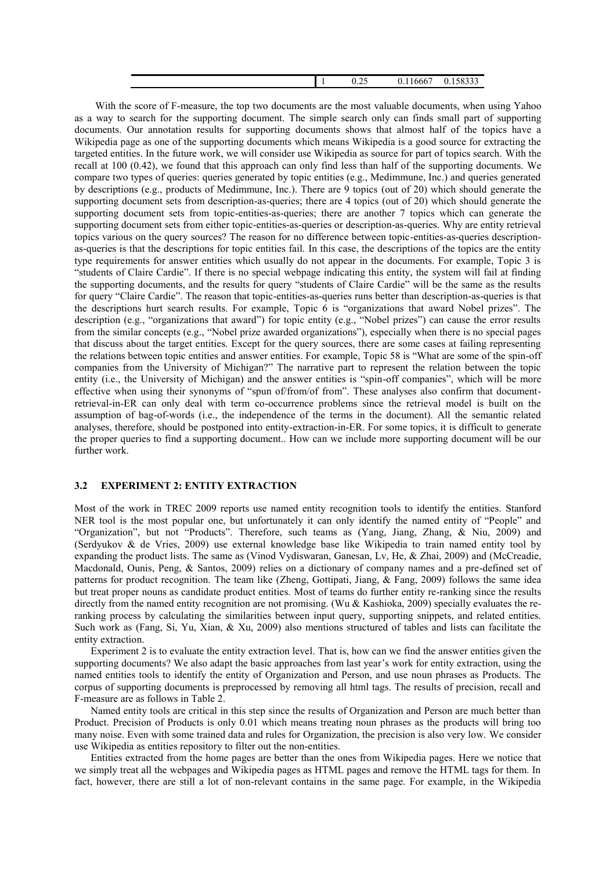| $\sim$ $\sim$ $\sim$ $\sim$<br>100222<br>$\bigcap$<br>0.11666<br>$\Gamma$<br>U. 196935<br>$\mathsf{v}.\mathsf{v}$<br>. . |
|--------------------------------------------------------------------------------------------------------------------------|
|--------------------------------------------------------------------------------------------------------------------------|

With the score of F-measure, the top two documents are the most valuable documents, when using Yahoo as a way to search for the supporting document. The simple search only can finds small part of supporting documents. Our annotation results for supporting documents shows that almost half of the topics have a Wikipedia page as one of the supporting documents which means Wikipedia is a good source for extracting the targeted entities. In the future work, we will consider use Wikipedia as source for part of topics search. With the recall at 100 (0.42), we found that this approach can only find less than half of the supporting documents. We compare two types of queries: queries generated by topic entities (e.g., Medimmune, Inc.) and queries generated by descriptions (e.g., products of Medimmune, Inc.). There are 9 topics (out of 20) which should generate the supporting document sets from description-as-queries; there are 4 topics (out of 20) which should generate the supporting document sets from topic-entities-as-queries; there are another 7 topics which can generate the supporting document sets from either topic-entities-as-queries or description-as-queries. Why are entity retrieval topics various on the query sources? The reason for no difference between topic-entities-as-queries descriptionas-queries is that the descriptions for topic entities fail. In this case, the descriptions of the topics are the entity type requirements for answer entities which usually do not appear in the documents. For example, Topic 3 is "students of Claire Cardie". If there is no special webpage indicating this entity, the system will fail at finding the supporting documents, and the results for query "students of Claire Cardie" will be the same as the results for query "Claire Cardie". The reason that topic-entities-as-queries runs better than description-as-queries is that the descriptions hurt search results. For example, Topic 6 is "organizations that award Nobel prizes". The description (e.g., "organizations that award") for topic entity (e.g., "Nobel prizes") can cause the error results from the similar concepts (e.g., "Nobel prize awarded organizations"), especially when there is no special pages that discuss about the target entities. Except for the query sources, there are some cases at failing representing the relations between topic entities and answer entities. For example, Topic 58 is "What are some of the spin-off companies from the University of Michigan?" The narrative part to represent the relation between the topic entity (i.e., the University of Michigan) and the answer entities is "spin-off companies", which will be more effective when using their synonyms of "spun of/from/of from". These analyses also confirm that documentretrieval-in-ER can only deal with term co-occurrence problems since the retrieval model is built on the assumption of bag-of-words (i.e., the independence of the terms in the document). All the semantic related analyses, therefore, should be postponed into entity-extraction-in-ER. For some topics, it is difficult to generate the proper queries to find a supporting document.. How can we include more supporting document will be our further work.

## **3.2 EXPERIMENT 2: ENTITY EXTRACTION**

Most of the work in TREC 2009 reports use named entity recognition tools to identify the entities. Stanford NER tool is the most popular one, but unfortunately it can only identify the named entity of "People" and "Organization", but not "Products". Therefore, such teams as (Yang, Jiang, Zhang, & Niu, 2009) and (Serdyukov & de Vries, 2009) use external knowledge base like Wikipedia to train named entity tool by expanding the product lists. The same as (Vinod Vydiswaran, Ganesan, Lv, He, & Zhai, 2009) and (McCreadie, Macdonald, Ounis, Peng, & Santos, 2009) relies on a dictionary of company names and a pre-defined set of patterns for product recognition. The team like (Zheng, Gottipati, Jiang, & Fang, 2009) follows the same idea but treat proper nouns as candidate product entities. Most of teams do further entity re-ranking since the results directly from the named entity recognition are not promising. (Wu & Kashioka, 2009) specially evaluates the reranking process by calculating the similarities between input query, supporting snippets, and related entities. Such work as (Fang, Si, Yu, Xian, & Xu, 2009) also mentions structured of tables and lists can facilitate the entity extraction.

Experiment 2 is to evaluate the entity extraction level. That is, how can we find the answer entities given the supporting documents? We also adapt the basic approaches from last year's work for entity extraction, using the named entities tools to identify the entity of Organization and Person, and use noun phrases as Products. The corpus of supporting documents is preprocessed by removing all html tags. The results of precision, recall and F-measure are as follows in Table 2.

Named entity tools are critical in this step since the results of Organization and Person are much better than Product. Precision of Products is only 0.01 which means treating noun phrases as the products will bring too many noise. Even with some trained data and rules for Organization, the precision is also very low. We consider use Wikipedia as entities repository to filter out the non-entities.

Entities extracted from the home pages are better than the ones from Wikipedia pages. Here we notice that we simply treat all the webpages and Wikipedia pages as HTML pages and remove the HTML tags for them. In fact, however, there are still a lot of non-relevant contains in the same page. For example, in the Wikipedia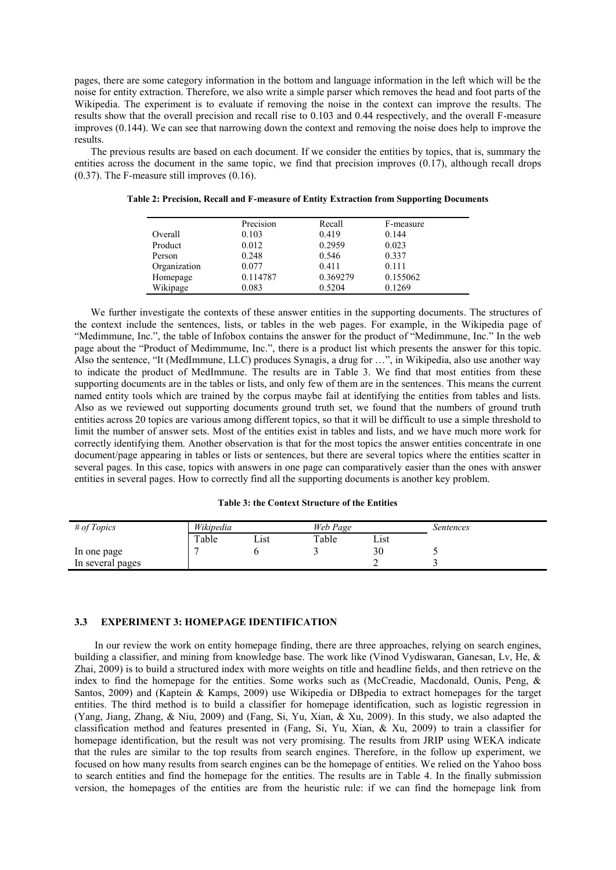pages, there are some category information in the bottom and language information in the left which will be the noise for entity extraction. Therefore, we also write a simple parser which removes the head and foot parts of the Wikipedia. The experiment is to evaluate if removing the noise in the context can improve the results. The results show that the overall precision and recall rise to 0.103 and 0.44 respectively, and the overall F-measure improves (0.144). We can see that narrowing down the context and removing the noise does help to improve the results.

The previous results are based on each document. If we consider the entities by topics, that is, summary the entities across the document in the same topic, we find that precision improves (0.17), although recall drops (0.37). The F-measure still improves (0.16).

|              | Precision | Recall   | F-measure |
|--------------|-----------|----------|-----------|
| Overall      | 0.103     | 0.419    | 0.144     |
| Product      | 0.012     | 0.2959   | 0.023     |
| Person       | 0.248     | 0.546    | 0.337     |
| Organization | 0.077     | 0.411    | 0.111     |
| Homepage     | 0.114787  | 0.369279 | 0.155062  |
| Wikipage     | 0.083     | 0.5204   | 0.1269    |

**Table 2: Precision, Recall and F-measure of Entity Extraction from Supporting Documents**

We further investigate the contexts of these answer entities in the supporting documents. The structures of the context include the sentences, lists, or tables in the web pages. For example, in the Wikipedia page of "Medimmune, Inc.", the table of Infobox contains the answer for the product of "Medimmune, Inc." In the web page about the "Product of Medimmume, Inc.", there is a product list which presents the answer for this topic. Also the sentence, "It (MedImmune, LLC) produces Synagis, a drug for ...", in Wikipedia, also use another way to indicate the product of MedImmune. The results are in Table 3. We find that most entities from these supporting documents are in the tables or lists, and only few of them are in the sentences. This means the current named entity tools which are trained by the corpus maybe fail at identifying the entities from tables and lists. Also as we reviewed out supporting documents ground truth set, we found that the numbers of ground truth entities across 20 topics are various among different topics, so that it will be difficult to use a simple threshold to limit the number of answer sets. Most of the entities exist in tables and lists, and we have much more work for correctly identifying them. Another observation is that for the most topics the answer entities concentrate in one document/page appearing in tables or lists or sentences, but there are several topics where the entities scatter in several pages. In this case, topics with answers in one page can comparatively easier than the ones with answer entities in several pages. How to correctly find all the supporting documents is another key problem.

| $#$ of Topics    | Wikipedia |      | Web Page |      | Sentences |
|------------------|-----------|------|----------|------|-----------|
|                  | Table     | Lıst | Table    | Lıst |           |
| In one page      |           |      |          | 30   |           |
| In several pages |           |      |          |      |           |

### **3.3 EXPERIMENT 3: HOMEPAGE IDENTIFICATION**

In our review the work on entity homepage finding, there are three approaches, relying on search engines, building a classifier, and mining from knowledge base. The work like (Vinod Vydiswaran, Ganesan, Lv, He, & Zhai, 2009) is to build a structured index with more weights on title and headline fields, and then retrieve on the index to find the homepage for the entities. Some works such as (McCreadie, Macdonald, Ounis, Peng, & Santos, 2009) and (Kaptein & Kamps, 2009) use Wikipedia or DBpedia to extract homepages for the target entities. The third method is to build a classifier for homepage identification, such as logistic regression in (Yang, Jiang, Zhang, & Niu, 2009) and (Fang, Si, Yu, Xian, & Xu, 2009). In this study, we also adapted the classification method and features presented in (Fang, Si, Yu, Xian, & Xu, 2009) to train a classifier for homepage identification, but the result was not very promising. The results from JRIP using WEKA indicate that the rules are similar to the top results from search engines. Therefore, in the follow up experiment, we focused on how many results from search engines can be the homepage of entities. We relied on the Yahoo boss to search entities and find the homepage for the entities. The results are in Table 4. In the finally submission version, the homepages of the entities are from the heuristic rule: if we can find the homepage link from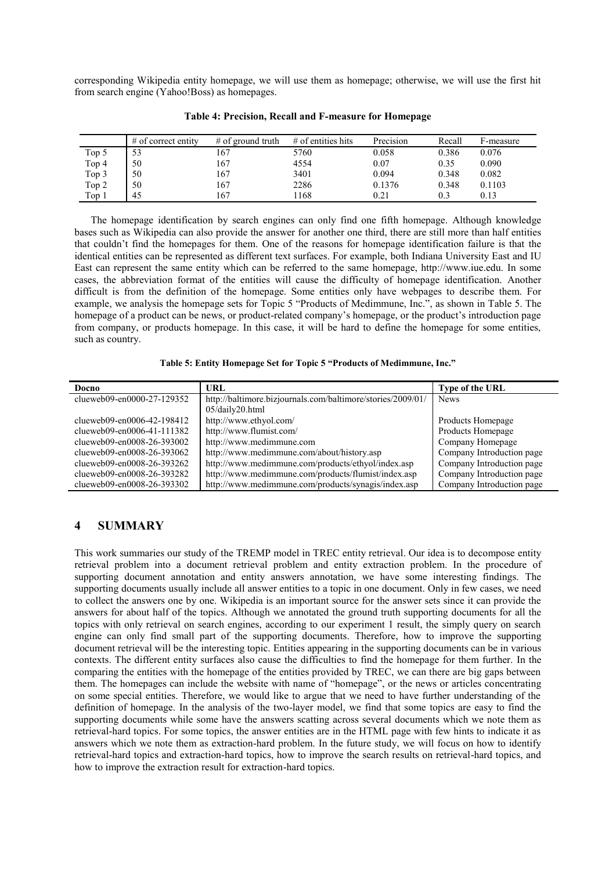corresponding Wikipedia entity homepage, we will use them as homepage; otherwise, we will use the first hit from search engine (Yahoo!Boss) as homepages.

|       | $#$ of correct entity | $#$ of ground truth | $#$ of entities hits | Precision | Recall | F-measure |
|-------|-----------------------|---------------------|----------------------|-----------|--------|-----------|
| Top 5 | 53                    | 167                 | 5760                 | 0.058     | 0.386  | 0.076     |
| Top 4 | 50                    | 167                 | 4554                 | 0.07      | 0.35   | 0.090     |
| Top 3 | 50                    | 167                 | 3401                 | 0.094     | 0.348  | 0.082     |
| Top 2 | 50                    | 167                 | 2286                 | 0.1376    | 0.348  | 0.1103    |
| Top 1 | 45                    | 167                 | 1168                 | 0.21      | 0.3    | 0.13      |

### **Table 4: Precision, Recall and F-measure for Homepage**

The homepage identification by search engines can only find one fifth homepage. Although knowledge bases such as Wikipedia can also provide the answer for another one third, there are still more than half entities that couldn't find the homepages for them. One of the reasons for homepage identification failure is that the identical entities can be represented as different text surfaces. For example, both Indiana University East and IU East can represent the same entity which can be referred to the same homepage, http://www.iue.edu. In some cases, the abbreviation format of the entities will cause the difficulty of homepage identification. Another difficult is from the definition of the homepage. Some entities only have webpages to describe them. For example, we analysis the homepage sets for Topic 5 "Products of Medimmune, Inc.", as shown in Table 5. The homepage of a product can be news, or product-related company's homepage, or the product's introduction page from company, or products homepage. In this case, it will be hard to define the homepage for some entities, such as country.

| Table 5: Entity Homepage Set for Topic 5 "Products of Medimmune, Inc." |  |  |  |
|------------------------------------------------------------------------|--|--|--|
|                                                                        |  |  |  |

| Docno                      | URL                                                         | <b>Type of the URL</b>    |  |
|----------------------------|-------------------------------------------------------------|---------------------------|--|
| clueweb09-en0000-27-129352 | http://baltimore.bizjournals.com/baltimore/stories/2009/01/ | <b>News</b>               |  |
|                            | 05/daily20.html                                             |                           |  |
| clueweb09-en0006-42-198412 | http://www.ethyol.com/                                      | Products Homepage         |  |
| clueweb09-en0006-41-111382 | http://www.flumist.com/                                     | Products Homepage         |  |
| clueweb09-en0008-26-393002 | http://www.medimmune.com                                    | Company Homepage          |  |
| clueweb09-en0008-26-393062 | http://www.medimmune.com/about/history.asp                  | Company Introduction page |  |
| clueweb09-en0008-26-393262 | http://www.medimmune.com/products/ethyol/index.asp          | Company Introduction page |  |
| clueweb09-en0008-26-393282 | http://www.medimmune.com/products/flumist/index.asp         | Company Introduction page |  |
| clueweb09-en0008-26-393302 | http://www.medimmune.com/products/synagis/index.asp         | Company Introduction page |  |

# **4 SUMMARY**

This work summaries our study of the TREMP model in TREC entity retrieval. Our idea is to decompose entity retrieval problem into a document retrieval problem and entity extraction problem. In the procedure of supporting document annotation and entity answers annotation, we have some interesting findings. The supporting documents usually include all answer entities to a topic in one document. Only in few cases, we need to collect the answers one by one. Wikipedia is an important source for the answer sets since it can provide the answers for about half of the topics. Although we annotated the ground truth supporting documents for all the topics with only retrieval on search engines, according to our experiment 1 result, the simply query on search engine can only find small part of the supporting documents. Therefore, how to improve the supporting document retrieval will be the interesting topic. Entities appearing in the supporting documents can be in various contexts. The different entity surfaces also cause the difficulties to find the homepage for them further. In the comparing the entities with the homepage of the entities provided by TREC, we can there are big gaps between them. The homepages can include the website with name of "homepage", or the news or articles concentrating on some special entities. Therefore, we would like to argue that we need to have further understanding of the definition of homepage. In the analysis of the two-layer model, we find that some topics are easy to find the supporting documents while some have the answers scatting across several documents which we note them as retrieval-hard topics. For some topics, the answer entities are in the HTML page with few hints to indicate it as answers which we note them as extraction-hard problem. In the future study, we will focus on how to identify retrieval-hard topics and extraction-hard topics, how to improve the search results on retrieval-hard topics, and how to improve the extraction result for extraction-hard topics.